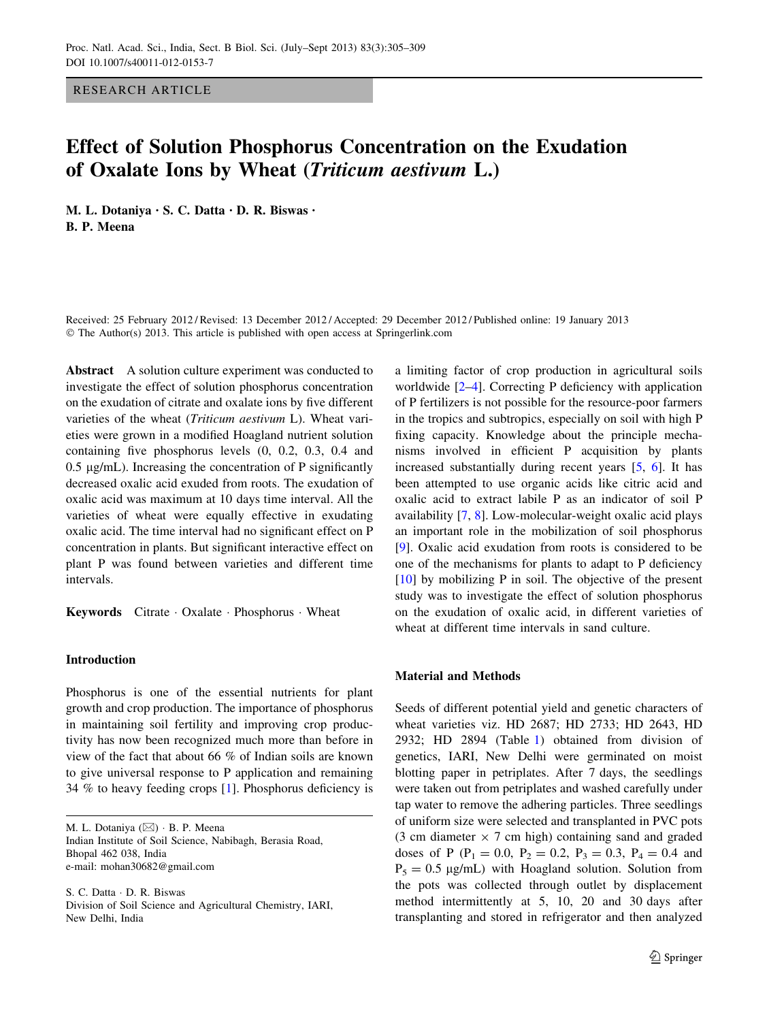RESEARCH ARTICLE

# Effect of Solution Phosphorus Concentration on the Exudation of Oxalate Ions by Wheat (Triticum aestivum L.)

M. L. Dotaniya • S. C. Datta • D. R. Biswas • B. P. Meena

Received: 25 February 2012 / Revised: 13 December 2012 / Accepted: 29 December 2012 / Published online: 19 January 2013 © The Author(s) 2013. This article is published with open access at Springerlink.com

Abstract A solution culture experiment was conducted to investigate the effect of solution phosphorus concentration on the exudation of citrate and oxalate ions by five different varieties of the wheat (Triticum aestivum L). Wheat varieties were grown in a modified Hoagland nutrient solution containing five phosphorus levels (0, 0.2, 0.3, 0.4 and  $0.5 \mu g/mL$ ). Increasing the concentration of P significantly decreased oxalic acid exuded from roots. The exudation of oxalic acid was maximum at 10 days time interval. All the varieties of wheat were equally effective in exudating oxalic acid. The time interval had no significant effect on P concentration in plants. But significant interactive effect on plant P was found between varieties and different time intervals.

Keywords Citrate · Oxalate · Phosphorus · Wheat

# Introduction

Phosphorus is one of the essential nutrients for plant growth and crop production. The importance of phosphorus in maintaining soil fertility and improving crop productivity has now been recognized much more than before in view of the fact that about 66 % of Indian soils are known to give universal response to P application and remaining 34 % to heavy feeding crops [[1\]](#page-3-0). Phosphorus deficiency is

M. L. Dotaniya ( $\boxtimes$ ) · B. P. Meena Indian Institute of Soil Science, Nabibagh, Berasia Road, Bhopal 462 038, India e-mail: mohan30682@gmail.com

S. C. Datta - D. R. Biswas Division of Soil Science and Agricultural Chemistry, IARI, New Delhi, India

a limiting factor of crop production in agricultural soils worldwide [\[2–4](#page-3-0)]. Correcting P deficiency with application of P fertilizers is not possible for the resource-poor farmers in the tropics and subtropics, especially on soil with high P fixing capacity. Knowledge about the principle mechanisms involved in efficient P acquisition by plants increased substantially during recent years [[5,](#page-3-0) [6\]](#page-3-0). It has been attempted to use organic acids like citric acid and oxalic acid to extract labile P as an indicator of soil P availability [\[7](#page-3-0), [8\]](#page-3-0). Low-molecular-weight oxalic acid plays an important role in the mobilization of soil phosphorus [\[9](#page-3-0)]. Oxalic acid exudation from roots is considered to be one of the mechanisms for plants to adapt to P deficiency [\[10](#page-3-0)] by mobilizing P in soil. The objective of the present study was to investigate the effect of solution phosphorus on the exudation of oxalic acid, in different varieties of wheat at different time intervals in sand culture.

# Material and Methods

Seeds of different potential yield and genetic characters of wheat varieties viz. HD 2687; HD 2733; HD 2643, HD 2932; HD 2894 (Table [1\)](#page-1-0) obtained from division of genetics, IARI, New Delhi were germinated on moist blotting paper in petriplates. After 7 days, the seedlings were taken out from petriplates and washed carefully under tap water to remove the adhering particles. Three seedlings of uniform size were selected and transplanted in PVC pots (3 cm diameter  $\times$  7 cm high) containing sand and graded doses of P (P<sub>1</sub> = 0.0, P<sub>2</sub> = 0.2, P<sub>3</sub> = 0.3, P<sub>4</sub> = 0.4 and  $P_5 = 0.5 \text{ µg/mL}$  with Hoagland solution. Solution from the pots was collected through outlet by displacement method intermittently at 5, 10, 20 and 30 days after transplanting and stored in refrigerator and then analyzed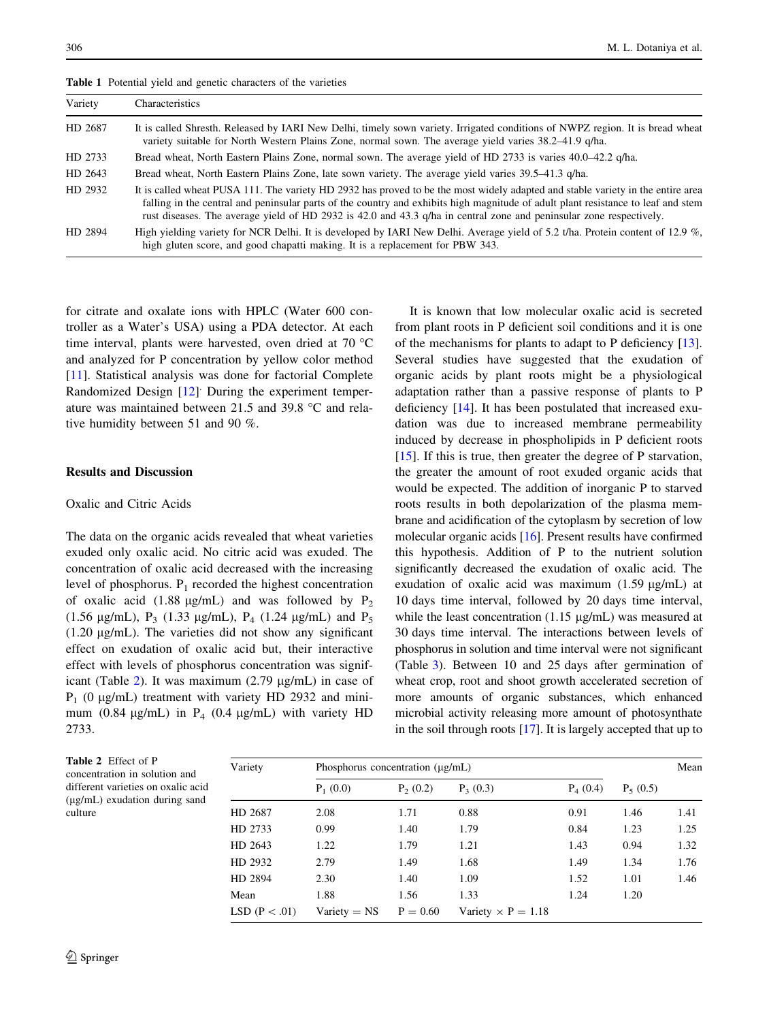| Variety | Characteristics                                                                                                                                                                                                                                                                                                                                                                             |
|---------|---------------------------------------------------------------------------------------------------------------------------------------------------------------------------------------------------------------------------------------------------------------------------------------------------------------------------------------------------------------------------------------------|
| HD 2687 | It is called Shresth. Released by IARI New Delhi, timely sown variety. Irrigated conditions of NWPZ region. It is bread wheat<br>variety suitable for North Western Plains Zone, normal sown. The average yield varies 38.2–41.9 q/ha.                                                                                                                                                      |
| HD 2733 | Bread wheat, North Eastern Plains Zone, normal sown. The average yield of HD 2733 is varies 40.0–42.2 q/ha.                                                                                                                                                                                                                                                                                 |
| HD 2643 | Bread wheat, North Eastern Plains Zone, late sown variety. The average yield varies 39.5–41.3 q/ha.                                                                                                                                                                                                                                                                                         |
| HD 2932 | It is called wheat PUSA 111. The variety HD 2932 has proved to be the most widely adapted and stable variety in the entire area<br>falling in the central and peninsular parts of the country and exhibits high magnitude of adult plant resistance to leaf and stem<br>rust diseases. The average yield of HD 2932 is 42.0 and 43.3 q/ha in central zone and peninsular zone respectively. |
| HD 2894 | High yielding variety for NCR Delhi. It is developed by IARI New Delhi. Average yield of 5.2 t/ha. Protein content of 12.9 %,<br>high gluten score, and good chapatti making. It is a replacement for PBW 343.                                                                                                                                                                              |

<span id="page-1-0"></span>Table 1 Potential yield and genetic characters of the varieties

for citrate and oxalate ions with HPLC (Water 600 controller as a Water's USA) using a PDA detector. At each time interval, plants were harvested, oven dried at 70  $^{\circ}$ C and analyzed for P concentration by yellow color method [\[11](#page-3-0)]. Statistical analysis was done for factorial Complete Randomized Design [\[12](#page-3-0)] During the experiment temperature was maintained between 21.5 and 39.8  $^{\circ}$ C and relative humidity between 51 and 90 %.

# Results and Discussion

#### Oxalic and Citric Acids

The data on the organic acids revealed that wheat varieties exuded only oxalic acid. No citric acid was exuded. The concentration of oxalic acid decreased with the increasing level of phosphorus.  $P_1$  recorded the highest concentration of oxalic acid (1.88  $\mu$ g/mL) and was followed by P<sub>2</sub> (1.56  $\mu$ g/mL), P<sub>3</sub> (1.33  $\mu$ g/mL), P<sub>4</sub> (1.24  $\mu$ g/mL) and P<sub>5</sub>  $(1.20 \mu g/mL)$ . The varieties did not show any significant effect on exudation of oxalic acid but, their interactive effect with levels of phosphorus concentration was significant (Table 2). It was maximum  $(2.79 \text{ µg/mL})$  in case of  $P_1$  (0 µg/mL) treatment with variety HD 2932 and minimum (0.84  $\mu$ g/mL) in P<sub>4</sub> (0.4  $\mu$ g/mL) with variety HD 2733.

It is known that low molecular oxalic acid is secreted from plant roots in P deficient soil conditions and it is one of the mechanisms for plants to adapt to P deficiency [\[13](#page-3-0)]. Several studies have suggested that the exudation of organic acids by plant roots might be a physiological adaptation rather than a passive response of plants to P deficiency [\[14](#page-3-0)]. It has been postulated that increased exudation was due to increased membrane permeability induced by decrease in phospholipids in P deficient roots [\[15](#page-3-0)]. If this is true, then greater the degree of P starvation, the greater the amount of root exuded organic acids that would be expected. The addition of inorganic P to starved roots results in both depolarization of the plasma membrane and acidification of the cytoplasm by secretion of low molecular organic acids [[16\]](#page-3-0). Present results have confirmed this hypothesis. Addition of P to the nutrient solution significantly decreased the exudation of oxalic acid. The exudation of oxalic acid was maximum  $(1.59 \mu g/mL)$  at 10 days time interval, followed by 20 days time interval, while the least concentration  $(1.15 \text{ µg/mL})$  was measured at 30 days time interval. The interactions between levels of phosphorus in solution and time interval were not significant (Table [3\)](#page-2-0). Between 10 and 25 days after germination of wheat crop, root and shoot growth accelerated secretion of more amounts of organic substances, which enhanced microbial activity releasing more amount of photosynthate in the soil through roots [\[17](#page-3-0)]. It is largely accepted that up to

| Table 2 Effect of P                |
|------------------------------------|
| concentration in solution and      |
| different varieties on oxalic acid |
| $(\mu g/mL)$ exudation during sand |
| culture                            |
|                                    |

| Variety         | Phosphorus concentration $(\mu g/mL)$ |            |                           |            |            | Mean |
|-----------------|---------------------------------------|------------|---------------------------|------------|------------|------|
|                 | $P_1(0.0)$                            | $P_2(0.2)$ | $P_3(0.3)$                | $P_4(0.4)$ | $P_5(0.5)$ |      |
| HD 2687         | 2.08                                  | 1.71       | 0.88                      | 0.91       | 1.46       | 1.41 |
| HD 2733         | 0.99                                  | 1.40       | 1.79                      | 0.84       | 1.23       | 1.25 |
| HD 2643         | 1.22                                  | 1.79       | 1.21                      | 1.43       | 0.94       | 1.32 |
| HD 2932         | 2.79                                  | 1.49       | 1.68                      | 1.49       | 1.34       | 1.76 |
| HD 2894         | 2.30                                  | 1.40       | 1.09                      | 1.52       | 1.01       | 1.46 |
| Mean            | 1.88                                  | 1.56       | 1.33                      | 1.24       | 1.20       |      |
| LSD $(P < .01)$ | $Variety = NS$                        | $P = 0.60$ | Variety $\times$ P = 1.18 |            |            |      |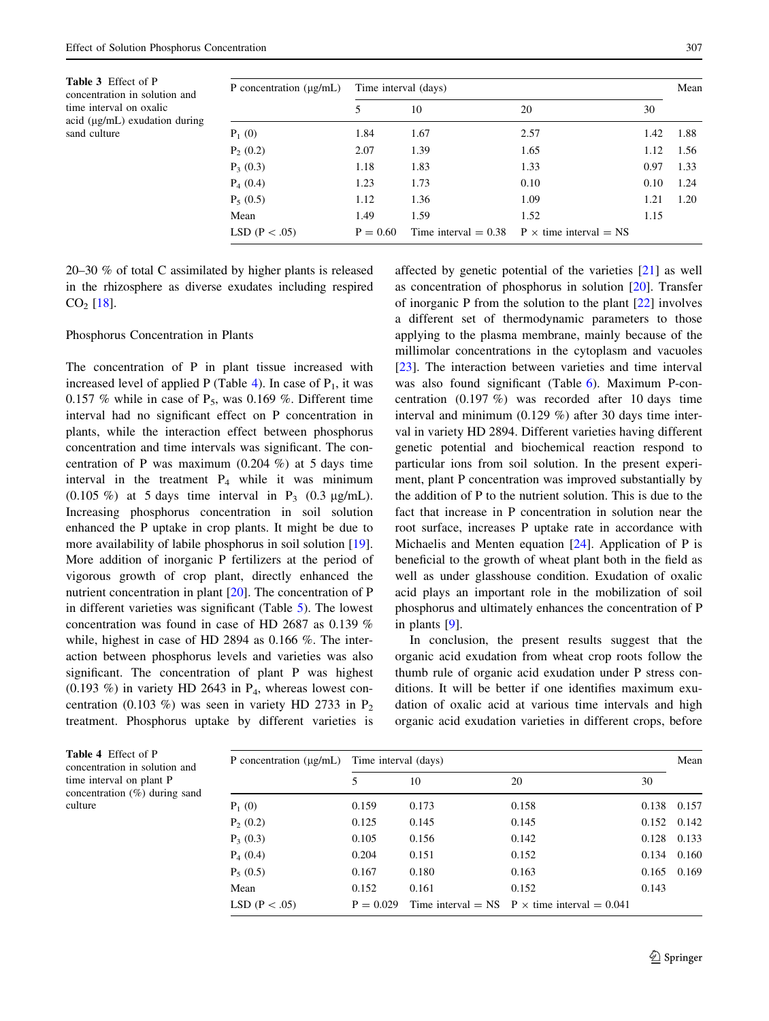<span id="page-2-0"></span>

| <b>Table 3</b> Effect of P<br>concentration in solution and        | P concentration $(\mu g/mL)$ | Time interval (days) |      |      |      | Mean |
|--------------------------------------------------------------------|------------------------------|----------------------|------|------|------|------|
| time interval on oxalic<br>$\alpha$ ( $\mu$ g/mL) exudation during |                              |                      | 10   | 20   | 30   |      |
| sand culture                                                       | $P_1(0)$                     | 1.84                 | 1.67 | 2.57 | 1.42 | 1.88 |
|                                                                    | $P_2(0.2)$                   | 2.07                 | 1.39 | 1.65 | 1.12 | 1.56 |
|                                                                    | $P_3(0.3)$                   | 1.18                 | 1.83 | 1.33 | 0.97 | 1.33 |
|                                                                    | $P_4(0.4)$                   | 1.23                 | 1.73 | 0.10 | 0.10 | 1.24 |
|                                                                    | $P_5(0.5)$                   | 1.12                 | 1.36 | 1.09 | 1.21 | 1.20 |
|                                                                    | Mean                         | 1.49                 | 1.59 | 1.52 | 1.15 |      |

LSD (P < .05)  $P = 0.60$  Time interval = 0.38 P  $\times$  time interval = NS

20–30 % of total C assimilated by higher plants is released in the rhizosphere as diverse exudates including respired  $CO<sub>2</sub>$  [[18\]](#page-4-0).

#### Phosphorus Concentration in Plants

The concentration of P in plant tissue increased with increased level of applied P (Table 4). In case of  $P_1$ , it was 0.157 % while in case of  $P_5$ , was 0.169 %. Different time interval had no significant effect on P concentration in plants, while the interaction effect between phosphorus concentration and time intervals was significant. The concentration of P was maximum (0.204 %) at 5 days time interval in the treatment  $P_4$  while it was minimum (0.105 %) at 5 days time interval in  $P_3$  (0.3  $\mu$ g/mL). Increasing phosphorus concentration in soil solution enhanced the P uptake in crop plants. It might be due to more availability of labile phosphorus in soil solution [\[19](#page-4-0)]. More addition of inorganic P fertilizers at the period of vigorous growth of crop plant, directly enhanced the nutrient concentration in plant [[20\]](#page-4-0). The concentration of P in different varieties was significant (Table [5](#page-3-0)). The lowest concentration was found in case of HD 2687 as 0.139 % while, highest in case of HD 2894 as 0.166 %. The interaction between phosphorus levels and varieties was also significant. The concentration of plant P was highest  $(0.193 \%)$  in variety HD 2643 in  $P_4$ , whereas lowest concentration (0.103 %) was seen in variety HD 2733 in  $P_2$ treatment. Phosphorus uptake by different varieties is

affected by genetic potential of the varieties [[21\]](#page-4-0) as well as concentration of phosphorus in solution [[20\]](#page-4-0). Transfer of inorganic P from the solution to the plant [[22\]](#page-4-0) involves a different set of thermodynamic parameters to those applying to the plasma membrane, mainly because of the millimolar concentrations in the cytoplasm and vacuoles [\[23](#page-4-0)]. The interaction between varieties and time interval was also found significant (Table [6](#page-3-0)). Maximum P-concentration (0.197 %) was recorded after 10 days time interval and minimum (0.129 %) after 30 days time interval in variety HD 2894. Different varieties having different genetic potential and biochemical reaction respond to particular ions from soil solution. In the present experiment, plant P concentration was improved substantially by the addition of P to the nutrient solution. This is due to the fact that increase in P concentration in solution near the root surface, increases P uptake rate in accordance with Michaelis and Menten equation  $[24]$  $[24]$ . Application of P is beneficial to the growth of wheat plant both in the field as well as under glasshouse condition. Exudation of oxalic acid plays an important role in the mobilization of soil phosphorus and ultimately enhances the concentration of P in plants [[9\]](#page-3-0).

In conclusion, the present results suggest that the organic acid exudation from wheat crop roots follow the thumb rule of organic acid exudation under P stress conditions. It will be better if one identifies maximum exudation of oxalic acid at various time intervals and high organic acid exudation varieties in different crops, before

| P concentration $(\mu g/mL)$ | Time interval (days) |       |                                                     |       |                 |
|------------------------------|----------------------|-------|-----------------------------------------------------|-------|-----------------|
|                              |                      | 10    | 20                                                  | 30    |                 |
| $P_1(0)$                     | 0.159                | 0.173 | 0.158                                               | 0.138 | 0.157           |
| $P_2(0.2)$                   | 0.125                | 0.145 | 0.145                                               |       | $0.152$ $0.142$ |
| $P_3(0.3)$                   | 0.105                | 0.156 | 0.142                                               | 0.128 | 0.133           |
| $P_4(0.4)$                   | 0.204                | 0.151 | 0.152                                               | 0.134 | 0.160           |
| $P_5(0.5)$                   | 0.167                | 0.180 | 0.163                                               | 0.165 | 0.169           |
| Mean                         | 0.152                | 0.161 | 0.152                                               | 0.143 |                 |
| LSD ( $P < .05$ )            | $P = 0.029$          |       | Time interval = NS $P \times$ time interval = 0.041 |       |                 |

Table 4 Effect of P concentration in solution time interval on plant concentration  $(\%)$  during culture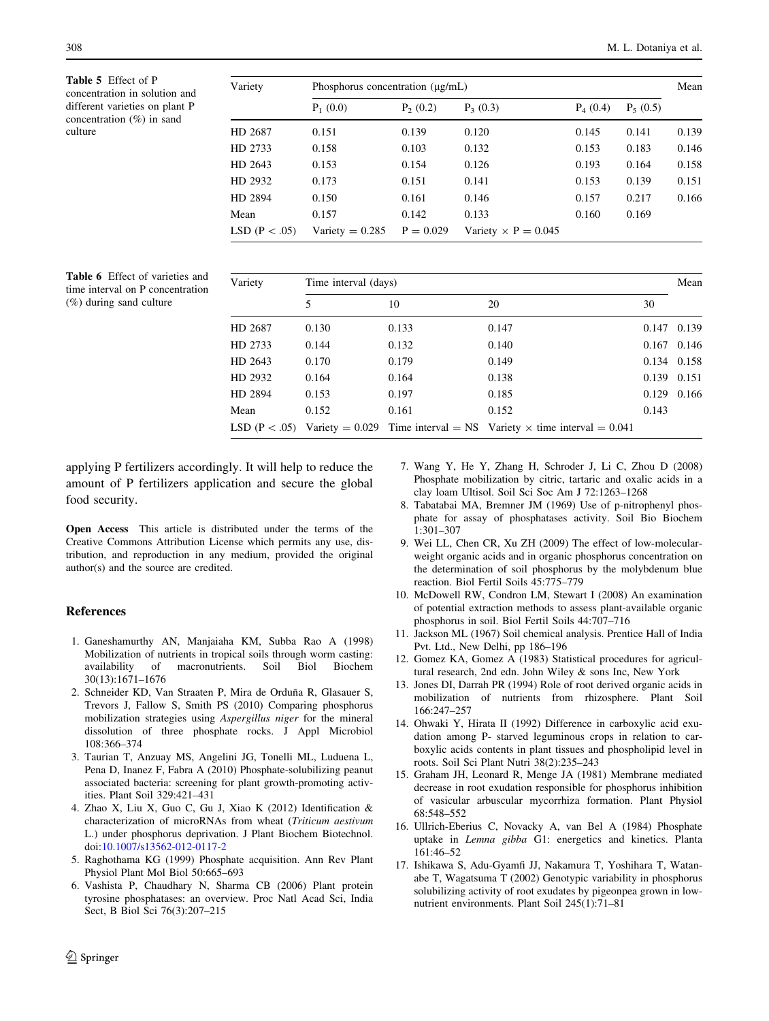<span id="page-3-0"></span>Table 5 Effect of P concentration in solution and different varieties on plant P concentration (%) in sand culture

| Variety           | Phosphorus concentration $(\mu g/mL)$ |             |                            |            |            |       |
|-------------------|---------------------------------------|-------------|----------------------------|------------|------------|-------|
|                   | $P_1(0.0)$                            | $P_2(0.2)$  | $P_3(0.3)$                 | $P_4(0.4)$ | $P_5(0.5)$ |       |
| HD 2687           | 0.151                                 | 0.139       | 0.120                      | 0.145      | 0.141      | 0.139 |
| HD 2733           | 0.158                                 | 0.103       | 0.132                      | 0.153      | 0.183      | 0.146 |
| HD 2643           | 0.153                                 | 0.154       | 0.126                      | 0.193      | 0.164      | 0.158 |
| HD 2932           | 0.173                                 | 0.151       | 0.141                      | 0.153      | 0.139      | 0.151 |
| HD 2894           | 0.150                                 | 0.161       | 0.146                      | 0.157      | 0.217      | 0.166 |
| Mean              | 0.157                                 | 0.142       | 0.133                      | 0.160      | 0.169      |       |
| LSD ( $P < .05$ ) | Variety = $0.285$                     | $P = 0.029$ | Variety $\times$ P = 0.045 |            |            |       |

Table 6 Effect of varieties and time interval on P concentration (%) during sand culture

| Variety | Time interval (days) |       |                                                                                         |                 |       |  |
|---------|----------------------|-------|-----------------------------------------------------------------------------------------|-----------------|-------|--|
|         | 5                    | 10    | 20                                                                                      | 30              |       |  |
| HD 2687 | 0.130                | 0.133 | 0.147                                                                                   | 0.147           | 0.139 |  |
| HD 2733 | 0.144                | 0.132 | 0.140                                                                                   | $0.167$ $0.146$ |       |  |
| HD 2643 | 0.170                | 0.179 | 0.149                                                                                   | 0.134 0.158     |       |  |
| HD 2932 | 0.164                | 0.164 | 0.138                                                                                   | 0.139 0.151     |       |  |
| HD 2894 | 0.153                | 0.197 | 0.185                                                                                   | 0.129 0.166     |       |  |
| Mean    | 0.152                | 0.161 | 0.152                                                                                   | 0.143           |       |  |
|         |                      |       | LSD (P < .05) Variety = 0.029 Time interval = NS Variety $\times$ time interval = 0.041 |                 |       |  |

applying P fertilizers accordingly. It will help to reduce the amount of P fertilizers application and secure the global food security.

Open Access This article is distributed under the terms of the Creative Commons Attribution License which permits any use, distribution, and reproduction in any medium, provided the original author(s) and the source are credited.

#### References

- 1. Ganeshamurthy AN, Manjaiaha KM, Subba Rao A (1998) Mobilization of nutrients in tropical soils through worm casting: availability of macronutrients. Soil Biol Biochem 30(13):1671–1676
- 2. Schneider KD, Van Straaten P, Mira de Orduña R, Glasauer S, Trevors J, Fallow S, Smith PS (2010) Comparing phosphorus mobilization strategies using Aspergillus niger for the mineral dissolution of three phosphate rocks. J Appl Microbiol 108:366–374
- 3. Taurian T, Anzuay MS, Angelini JG, Tonelli ML, Luduena L, Pena D, Inanez F, Fabra A (2010) Phosphate-solubilizing peanut associated bacteria: screening for plant growth-promoting activities. Plant Soil 329:421–431
- 4. Zhao X, Liu X, Guo C, Gu J, Xiao K (2012) Identification & characterization of microRNAs from wheat (Triticum aestivum L.) under phosphorus deprivation. J Plant Biochem Biotechnol. doi:[10.1007/s13562-012-0117-2](http://dx.doi.org/10.1007/s13562-012-0117-2)
- 5. Raghothama KG (1999) Phosphate acquisition. Ann Rev Plant Physiol Plant Mol Biol 50:665–693
- 6. Vashista P, Chaudhary N, Sharma CB (2006) Plant protein tyrosine phosphatases: an overview. Proc Natl Acad Sci, India Sect, B Biol Sci 76(3):207–215
- 7. Wang Y, He Y, Zhang H, Schroder J, Li C, Zhou D (2008) Phosphate mobilization by citric, tartaric and oxalic acids in a clay loam Ultisol. Soil Sci Soc Am J 72:1263–1268
- 8. Tabatabai MA, Bremner JM (1969) Use of p-nitrophenyl phosphate for assay of phosphatases activity. Soil Bio Biochem 1:301–307
- 9. Wei LL, Chen CR, Xu ZH (2009) The effect of low-molecularweight organic acids and in organic phosphorus concentration on the determination of soil phosphorus by the molybdenum blue reaction. Biol Fertil Soils 45:775–779
- 10. McDowell RW, Condron LM, Stewart I (2008) An examination of potential extraction methods to assess plant-available organic phosphorus in soil. Biol Fertil Soils 44:707–716
- 11. Jackson ML (1967) Soil chemical analysis. Prentice Hall of India Pvt. Ltd., New Delhi, pp 186–196
- 12. Gomez KA, Gomez A (1983) Statistical procedures for agricultural research, 2nd edn. John Wiley & sons Inc, New York
- 13. Jones DI, Darrah PR (1994) Role of root derived organic acids in mobilization of nutrients from rhizosphere. Plant Soil 166:247–257
- 14. Ohwaki Y, Hirata II (1992) Difference in carboxylic acid exudation among P- starved leguminous crops in relation to carboxylic acids contents in plant tissues and phospholipid level in roots. Soil Sci Plant Nutri 38(2):235–243
- 15. Graham JH, Leonard R, Menge JA (1981) Membrane mediated decrease in root exudation responsible for phosphorus inhibition of vasicular arbuscular mycorrhiza formation. Plant Physiol 68:548–552
- 16. Ullrich-Eberius C, Novacky A, van Bel A (1984) Phosphate uptake in Lemna gibba G1: energetics and kinetics. Planta 161:46–52
- 17. Ishikawa S, Adu-Gyamfi JJ, Nakamura T, Yoshihara T, Watanabe T, Wagatsuma T (2002) Genotypic variability in phosphorus solubilizing activity of root exudates by pigeonpea grown in lownutrient environments. Plant Soil 245(1):71–81